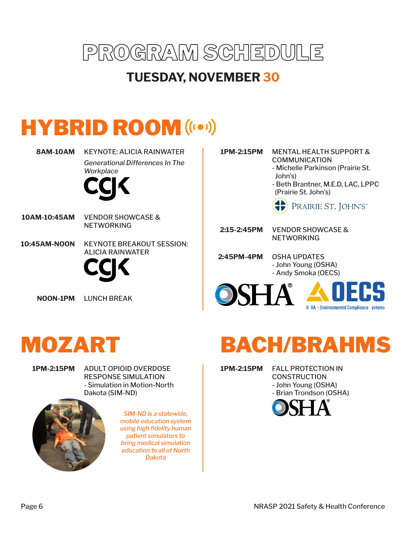

#### **TUESDAY, NOVEMBER 30**

### HYBRID ROOM (((e))

**8AM-10AM** KEYNOTE: ALICIA RAINWATER *Generational Differences In The Workplace*



- **10AM-10:45AM** VENDOR SHOWCASE & NETWORKING
- **10:45AM-NOON** KEYNOTE BREAKOUT SESSION: ALICIA RAINWATER



**NOON-1PM** LUNCH BREAK

#### **1PM-2:15PM** MENTAL HEALTH SUPPORT & COMMUNICATION

- Michelle Parkinson (Prairie St. John's)
- Beth Brantner, M.E.D, LAC, LPPC (Prairie St. John's)

PRAIRIE ST. JOHN'S

VENDOR SHOWCASE & **NETWORKING 2:15-2:45PM**

**2:45PM-4PM** OSHA UPDATES - John Young (OSHA) - Andy Smoka (OECS)



**O** HA + Environmental Compliance ystems

## MOZART

**1PM-2:15PM** ADULT OPIOID OVERDOSE RESPONSE SIMULATION - Simulation in Motion-North Dakota (SIM-ND)



*SIM-ND is a statewide, mobile education system using high fidelity human patient simulators to bring medical simulation education to all of North Dakota*

# BACH/BRAHMS

**1PM-2:15PM** FALL PROTECTION IN **CONSTRUCTION** - John Young (OSHA) - Brian Trondson (OSHA)

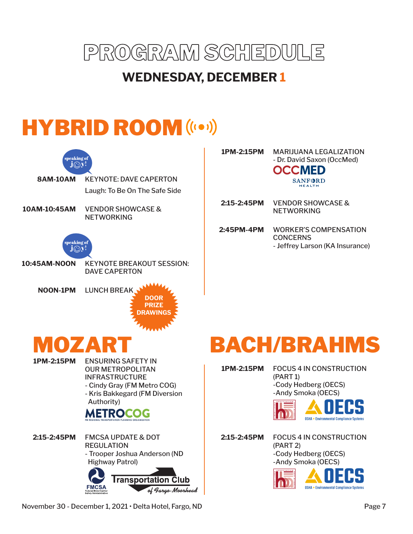

### **WEDNESDAY, DECEMBER 1**

# HYBRID ROOM (((e))



**1PM-2:15PM** MARIJUANA LEGALIZATION - Dr. David Saxon (OccMed) **OCCMED SANFORD** 

**HEALTH** 

VENDOR SHOWCASE & **NETWORKING 2:15-2:45PM**

**2:45PM-4PM** WORKER'S COMPENSATION **CONCERNS** - Jeffrey Larson (KA Insurance)

### BACH/BRAHMS

**1PM-2:15PM** FOCUS 4 IN CONSTRUCTION (PART 1) -Cody Hedberg (OECS) -Andy Smoka (OECS)



FOCUS 4 IN CONSTRUCTION (PART 2) -Cody Hedberg (OECS) **2:15-2:45PM**

-Andy Smoka (OECS)